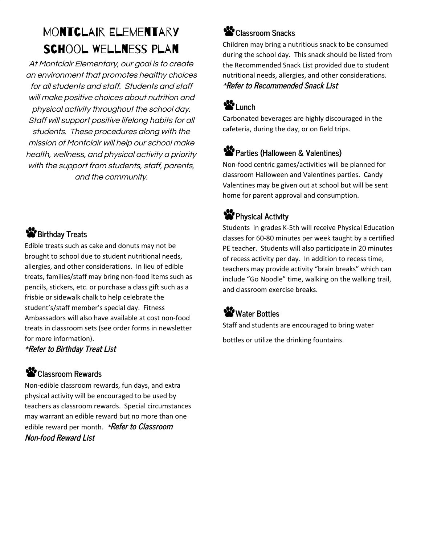# Montclair Elementary School Wellness Plan

At Montclair Elementary, our goal is to create an environment that promotes healthy choices for all students and staff. Students and staff will make positive choices about nutrition and physical activity throughout the school day. Staff will support positive lifelong habits for all students. These procedures along with the mission of Montclair will help our school make health, wellness, and physical activity <sup>a</sup> priority with the support from students, staff, parents, and the community.

### **Birthday Treats**

Edible treats such as cake and donuts may not be brought to school due to student nutritional needs, allergies, and other considerations. In lieu of edible treats, families/staff may bring non-food items such as pencils, stickers, etc. or purchase a class gift such as a frisbie or sidewalk chalk to help celebrate the student's/staff member's special day. Fitness Ambassadors will also have available at cost non-food treats in classroom sets (see order forms in newsletter for more information).

\***Refer to Birthday Treat List**

#### **Classroom Rewards**

Non-edible classroom rewards, fun days, and extra physical activity will be encouraged to be used by teachers as classroom rewards. Special circumstances may warrant an edible reward but no more than one edible reward per month. \***Refer to Classroom Non-food Reward List**

### **Classroom Snacks**

Children may bring a nutritious snack to be consumed during the school day. This snack should be listed from the Recommended Snack List provided due to student nutritional needs, allergies, and other considerations. \***Refer to Recommended Snack List**

## **Lunch**

Carbonated beverages are highly discouraged in the cafeteria, during the day, or on field trips.

### **Parties (Halloween & Valentines)**

Non-food centric games/activities will be planned for classroom Halloween and Valentines parties. Candy Valentines may be given out at school but will be sent home for parent approval and consumption.

### **Physical Activity**

Students in grades K-5th will receive Physical Education classes for 60-80 minutes per week taught by a certified PE teacher. Students will also participate in 20 minutes of recess activity per day. In addition to recess time, teachers may provide activity "brain breaks" which can include "Go Noodle" time, walking on the walking trail, and classroom exercise breaks.

### Water Bottles

Staff and students are encouraged to bring water bottles or utilize the drinking fountains.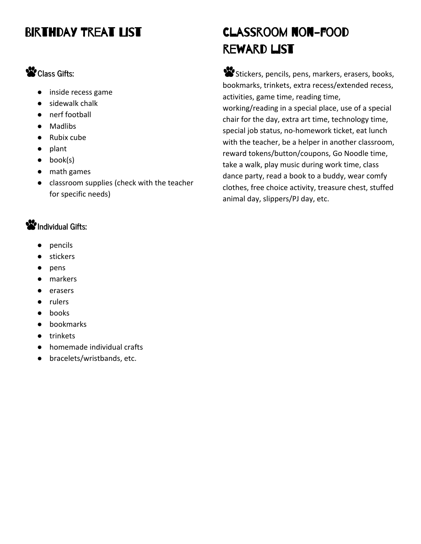## BIRTHDAY TREAT LIST

### **Class Gifts:**

- inside recess game
- sidewalk chalk
- nerf football
- Madlibs
- Rubix cube
- plant
- $\bullet$  book(s)
- math games
- classroom supplies (check with the teacher for specific needs)

#### **Individual Gifts:**

- pencils
- stickers
- pens
- markers
- erasers
- rulers
- books
- bookmarks
- trinkets
- homemade individual crafts
- bracelets/wristbands, etc.

# Classroom non-food reward list

Stickers, pencils, pens, markers, erasers, books, bookmarks, trinkets, extra recess/extended recess, activities, game time, reading time, working/reading in a special place, use of a special chair for the day, extra art time, technology time, special job status, no-homework ticket, eat lunch with the teacher, be a helper in another classroom, reward tokens/button/coupons, Go Noodle time, take a walk, play music during work time, class dance party, read a book to a buddy, wear comfy clothes, free choice activity, treasure chest, stuffed animal day, slippers/PJ day, etc.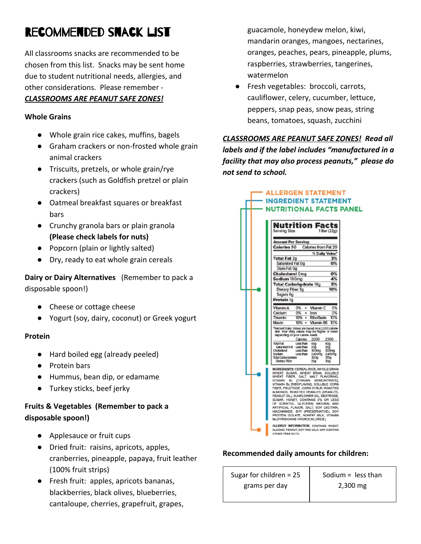# Recommended snack list

All classrooms snacks are recommended to be chosen from this list. Snacks may be sent home due to student nutritional needs, allergies, and other considerations. Please remember -

#### *CLASSROOMS ARE PEANUT SAFE ZONES!*

#### **Whole Grains**

- Whole grain rice cakes, muffins, bagels
- Graham crackers or non-frosted whole grain animal crackers
- Triscuits, pretzels, or whole grain/rye crackers (such as Goldfish pretzel or plain crackers)
- Oatmeal breakfast squares or breakfast bars
- Crunchy granola bars or plain granola **(Please check labels for nuts)**
- Popcorn (plain or lightly salted)
- Dry, ready to eat whole grain cereals

**Dairy or Dairy Alternatives** (Remember to pack a disposable spoon!)

- Cheese or cottage cheese
- Yogurt (soy, dairy, coconut) or Greek yogurt

#### **Protein**

- Hard boiled egg (already peeled)
- Protein bars
- Hummus, bean dip, or edamame
- Turkey sticks, beef jerky

#### **Fruits & Vegetables (Remember to pack a disposable spoon!)**

- Applesauce or fruit cups
- Dried fruit: raisins, apricots, apples, cranberries, pineapple, papaya, fruit leather (100% fruit strips)
- Fresh fruit: apples, apricots bananas, blackberries, black olives, blueberries, cantaloupe, cherries, grapefruit, grapes,

guacamole, honeydew melon, kiwi, mandarin oranges, mangoes, nectarines, oranges, peaches, pears, pineapple, plums, raspberries, strawberries, tangerines, watermelon

● Fresh vegetables: broccoli, carrots, cauliflower, celery, cucumber, lettuce, peppers, snap peas, snow peas, string beans, tomatoes, squash, zucchini

*CLASSROOMS ARE PEANUT SAFE ZONES! Read all labels and if the label includes "manufactured in a facility that may also process peanuts," please do not send to school.*

> **ALLERGEN STATEMENT INGREDIENT STATEMENT**

|                                            | <b>NUTRITIONAL FACTS PANEL</b>                                                                                                                                                                                                                                                                                                                                                                                                                                                                                                                                                               |  |
|--------------------------------------------|----------------------------------------------------------------------------------------------------------------------------------------------------------------------------------------------------------------------------------------------------------------------------------------------------------------------------------------------------------------------------------------------------------------------------------------------------------------------------------------------------------------------------------------------------------------------------------------------|--|
|                                            | Nutrition Facts                                                                                                                                                                                                                                                                                                                                                                                                                                                                                                                                                                              |  |
|                                            | <b>Serving Size</b><br>1 Bar (22g)                                                                                                                                                                                                                                                                                                                                                                                                                                                                                                                                                           |  |
| Amount Per Serving                         |                                                                                                                                                                                                                                                                                                                                                                                                                                                                                                                                                                                              |  |
| <b>Calories from Fat 20</b><br>Calorles 90 |                                                                                                                                                                                                                                                                                                                                                                                                                                                                                                                                                                                              |  |
|                                            | % Dally Value*<br><b>Total Fat 2g</b><br>3%                                                                                                                                                                                                                                                                                                                                                                                                                                                                                                                                                  |  |
|                                            | Saturated Fat Og<br><b>O%</b>                                                                                                                                                                                                                                                                                                                                                                                                                                                                                                                                                                |  |
|                                            | Trans Fat Og                                                                                                                                                                                                                                                                                                                                                                                                                                                                                                                                                                                 |  |
|                                            | <b>Cholesterol Omg</b><br>О%                                                                                                                                                                                                                                                                                                                                                                                                                                                                                                                                                                 |  |
|                                            | 4%<br>Sodium 100mg<br>Total Carbohydrate 16g<br>5%                                                                                                                                                                                                                                                                                                                                                                                                                                                                                                                                           |  |
|                                            | Dietary Fiber 3g<br>10%                                                                                                                                                                                                                                                                                                                                                                                                                                                                                                                                                                      |  |
| Sugars 6g                                  |                                                                                                                                                                                                                                                                                                                                                                                                                                                                                                                                                                                              |  |
|                                            | Protein 1g                                                                                                                                                                                                                                                                                                                                                                                                                                                                                                                                                                                   |  |
|                                            | 0%<br>Vitamin C<br>0%<br>Vitamin A<br>٠                                                                                                                                                                                                                                                                                                                                                                                                                                                                                                                                                      |  |
|                                            | 0%<br>0%<br>Calcium<br>Iron<br>٠                                                                                                                                                                                                                                                                                                                                                                                                                                                                                                                                                             |  |
|                                            | Riboflavin<br>10%<br>Thiamin<br>10%<br>٠<br>10%<br>Vitamin B6<br>10%<br>Niacin<br>٠                                                                                                                                                                                                                                                                                                                                                                                                                                                                                                          |  |
|                                            | *Percent Daily Values are based on a 2,000 calorie<br>diet. Your daily values may be higher or lower<br>depending on your calorie needs.                                                                                                                                                                                                                                                                                                                                                                                                                                                     |  |
|                                            | Calories<br>2000<br>2500<br><b>Total Fat</b><br>Less than<br>65g<br>80g<br>Saturated Fat Less than<br>20q<br>25q<br>Cholesterol<br>Less than<br>300mg<br>300mg<br>2,400mg<br>Sodlum<br>Less than<br>2,400mg<br>Total Carbohydrate<br>300g<br>375g<br>Dietary Fiber<br>25q<br>30g                                                                                                                                                                                                                                                                                                             |  |
|                                            | INGREDIENTS: CEREAL (RICE, WHOLE GRAIN<br>WHEAT, SUGAR, WHEAT BRAN, SOLUBLE<br>FIBER, SALT, MALT FLAVORING,<br>WHEAT<br><b>THIAMIN</b><br>VITAMIN<br>B <sub>1</sub><br>MONONITRATE]<br>VITAMIN B2 [RIBOFLAVIN]), SOLUBLE CORN<br>FIBER, FRUCTOSE, CORN SYRUP, ROASTED<br>ALMONDS, ROASTED PEANUTS (PEANUTS,<br>PEANUT OIL), SUNFLOWER OIL, DEXTROSE,<br>SUGAR, HONEY, CONTAINS 2% OR LESS<br>OF SORBITOL, GLYCERIN, NATURAL AND<br>ARTIFICIAL FLAVOR, SALT, SOY LECITHIN,<br>NIACINAMIDE, BHT (PRESERVATIVE), SOY<br>PROTEIN ISOLATE, NONFAT MILK, VITAMIN<br>Bs (PYRIDOXINE HYDROCHLORIDE). |  |
|                                            | ALLERGY INFORMATION: CONTAINS WHEAT,<br>ALMOND, PEANUT, SOY AND MILK, MAY CONTAIN<br>OTHER TREE NUTS.                                                                                                                                                                                                                                                                                                                                                                                                                                                                                        |  |

#### **Recommended daily amounts for children:**

Sugar for children = 25 grams per day Sodium = less than 2,300 mg